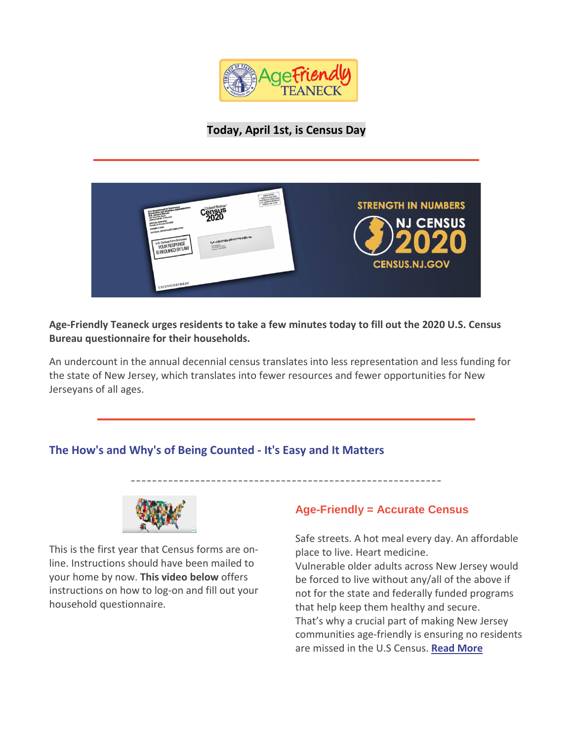

**Today, April 1st, is Census Day**

| FIRSTORYES.<br><b>HERE CLASS MEAD</b><br><b>HASS CLASS BEREAU</b><br>CONSULT BEREAU<br>U.S. CONSULT HO. 0.08<br>United State<br>4 of Commerce<br>ensus<br><b>Carolina</b><br>Penalty for Private Use \$300<br>AN ECSAL OPPORTUNITY EMPLOYER<br>$\label{eq:4.1} u_n\text{e}^{-\frac{1}{2}\sqrt{\frac{2}{3}}\sqrt{\frac{2}{3}}\sqrt{\frac{2}{3}}\sqrt{\frac{2}{3}}\sqrt{\frac{2}{3}}\sqrt{\frac{2}{3}}\sqrt{\frac{2}{3}}\sqrt{\frac{2}{3}}\sqrt{\frac{2}{3}}\sqrt{\frac{2}{3}}\sqrt{\frac{2}{3}}\sqrt{\frac{2}{3}}\sqrt{\frac{2}{3}}\sqrt{\frac{2}{3}}\sqrt{\frac{2}{3}}\sqrt{\frac{2}{3}}\sqrt{\frac{2}{3}}\sqrt{\frac{2}{3}}\sqrt{\frac{2}{3}}\sqrt{\frac{2}{3}}\sqrt{\frac{2}{3}}\sqrt{\frac{2}{3$<br>U.S. Census Form Enclosed<br>YOUR RESPONSE<br>I S REQUIRED BY LAW<br><b>COMMER-</b><br>Analysis, NJ 18720<br><b>USCENSUSBUREAU</b> | <b>STRENGTH IN NUMBERS</b><br><b>NJ CENSUS</b><br><b>CENSUS.NJ.GOV</b> |
|-------------------------------------------------------------------------------------------------------------------------------------------------------------------------------------------------------------------------------------------------------------------------------------------------------------------------------------------------------------------------------------------------------------------------------------------------------------------------------------------------------------------------------------------------------------------------------------------------------------------------------------------------------------------------------------------------------------------------------------------------------------------------------------------------------------------------------------------|------------------------------------------------------------------------|
|-------------------------------------------------------------------------------------------------------------------------------------------------------------------------------------------------------------------------------------------------------------------------------------------------------------------------------------------------------------------------------------------------------------------------------------------------------------------------------------------------------------------------------------------------------------------------------------------------------------------------------------------------------------------------------------------------------------------------------------------------------------------------------------------------------------------------------------------|------------------------------------------------------------------------|

**Age-Friendly Teaneck urges residents to take a few minutes today to fill out the 2020 U.S. Census Bureau questionnaire for their households.**

An undercount in the annual decennial census translates into less representation and less funding for the state of New Jersey, which translates into fewer resources and fewer opportunities for New Jerseyans of all ages.

## **The How's and Why's of Being Counted - It's Easy and It Matters**



This is the first year that Census forms are online. Instructions should have been mailed to your home by now. **This video below** offers instructions on how to log-on and fill out your household questionnaire.

## **Age-Friendly = Accurate Census**

Safe streets. A hot meal every day. An affordable place to live. Heart medicine. Vulnerable older adults across New Jersey would be forced to live without any/all of the above if not for the state and federally funded programs that help keep them healthy and secure. That's why a crucial part of making New Jersey communities age-friendly is ensuring no residents are missed in the U.S Census. **[Read More](http://r20.rs6.net/tn.jsp?f=001a2hSmkkDYiaWg-YQ0pw1R7EE8EGgnuziq0Hxf6rpv3D-0l1WgsaPWHgr8bPaKD_PD0CEQoCUwaP97Y_OFt5HtddB96ygGt3bIGsZlcZSqYBzt0PkPPyKqMvG-7w9M1b9DptQXDMfXDujpdsldEfreLgEK2pGNTQSqC25vwXOzXEwwD1bMjovijAoRsCyYG7iQ2D2I8WvE6L07o6igTpfReDbMb0KspSL&c=_bHMAb2RkgW6BDL0dZ_7qBoGvepI2JQy8mqIF8edngOUtzhiQOhAGQ==&ch=85KJGJYmG6EflMwm3QjhjCFJazFAWDn1SwF7gtwthg5wwb6LTAQaWg==)**